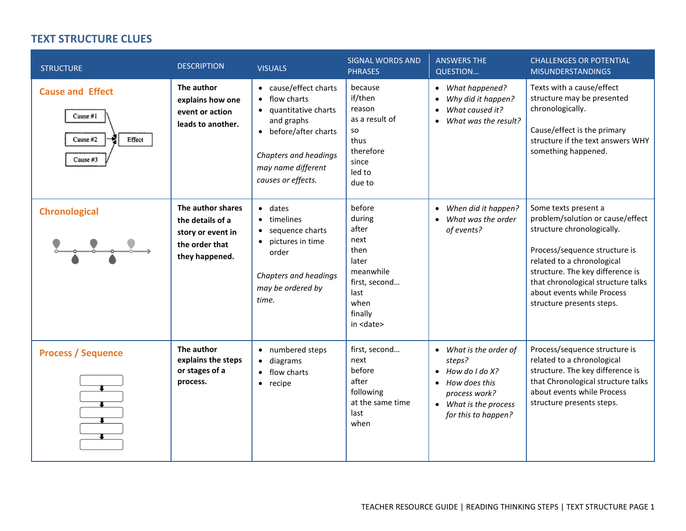## **TEXT STRUCTURE CLUES**

| <b>STRUCTURE</b>                                                        | <b>DESCRIPTION</b>                                                                             | <b>VISUALS</b>                                                                                                                                                                       | <b>SIGNAL WORDS AND</b><br><b>PHRASES</b>                                                                                       | <b>ANSWERS THE</b><br><b>QUESTION</b>                                                                                                                        | <b>CHALLENGES OR POTENTIAL</b><br><b>MISUNDERSTANDINGS</b>                                                                                                                                                                                                                                 |
|-------------------------------------------------------------------------|------------------------------------------------------------------------------------------------|--------------------------------------------------------------------------------------------------------------------------------------------------------------------------------------|---------------------------------------------------------------------------------------------------------------------------------|--------------------------------------------------------------------------------------------------------------------------------------------------------------|--------------------------------------------------------------------------------------------------------------------------------------------------------------------------------------------------------------------------------------------------------------------------------------------|
| <b>Cause and Effect</b><br>Cause $#1$<br>Cause #2<br>Effect<br>Cause #3 | The author<br>explains how one<br>event or action<br>leads to another.                         | • cause/effect charts<br>flow charts<br>$\bullet$<br>quantitative charts<br>and graphs<br>• before/after charts<br>Chapters and headings<br>may name different<br>causes or effects. | because<br>if/then<br>reason<br>as a result of<br>so<br>thus<br>therefore<br>since<br>led to<br>due to                          | • What happened?<br>Why did it happen?<br>$\bullet$<br>What caused it?<br>$\bullet$<br>What was the result?<br>$\bullet$                                     | Texts with a cause/effect<br>structure may be presented<br>chronologically.<br>Cause/effect is the primary<br>structure if the text answers WHY<br>something happened.                                                                                                                     |
| <b>Chronological</b>                                                    | The author shares<br>the details of a<br>story or event in<br>the order that<br>they happened. | $\bullet$ dates<br>timelines<br>$\bullet$<br>sequence charts<br>$\bullet$<br>pictures in time<br>$\bullet$<br>order<br>Chapters and headings<br>may be ordered by<br>time.           | before<br>during<br>after<br>next<br>then<br>later<br>meanwhile<br>first, second<br>last<br>when<br>finally<br>in <date></date> | When did it happen?<br>$\bullet$<br>What was the order<br>$\bullet$<br>of events?                                                                            | Some texts present a<br>problem/solution or cause/effect<br>structure chronologically.<br>Process/sequence structure is<br>related to a chronological<br>structure. The key difference is<br>that chronological structure talks<br>about events while Process<br>structure presents steps. |
| <b>Process / Sequence</b>                                               | The author<br>explains the steps<br>or stages of a<br>process.                                 | numbered steps<br>$\bullet$<br>diagrams<br>$\bullet$<br>flow charts<br>$\bullet$<br>recipe<br>$\bullet$                                                                              | first, second<br>next<br>before<br>after<br>following<br>at the same time<br>last<br>when                                       | What is the order of<br>steps?<br>How do I do X?<br>$\bullet$<br>How does this<br>$\bullet$<br>process work?<br>• What is the process<br>for this to happen? | Process/sequence structure is<br>related to a chronological<br>structure. The key difference is<br>that Chronological structure talks<br>about events while Process<br>structure presents steps.                                                                                           |